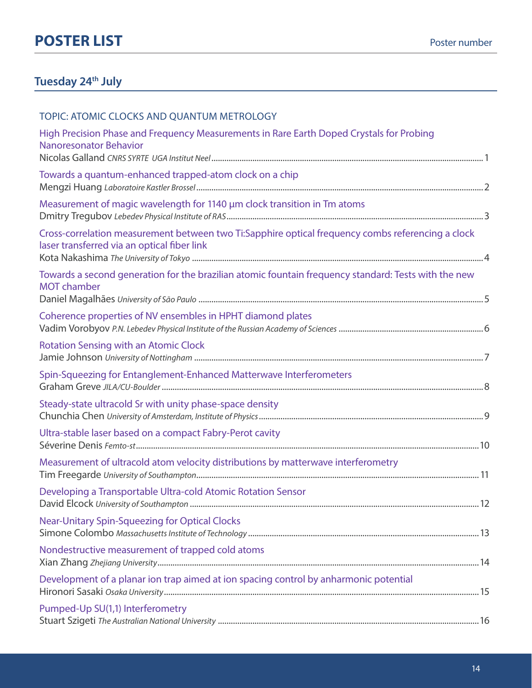#### **Tuesday 24th July**

| TOPIC: ATOMIC CLOCKS AND QUANTUM METROLOGY                                                                                                       |
|--------------------------------------------------------------------------------------------------------------------------------------------------|
| High Precision Phase and Frequency Measurements in Rare Earth Doped Crystals for Probing<br>Nanoresonator Behavior                               |
| Towards a quantum-enhanced trapped-atom clock on a chip                                                                                          |
| Measurement of magic wavelength for 1140 µm clock transition in Tm atoms                                                                         |
| Cross-correlation measurement between two Ti:Sapphire optical frequency combs referencing a clock<br>laser transferred via an optical fiber link |
| Towards a second generation for the brazilian atomic fountain frequency standard: Tests with the new<br><b>MOT</b> chamber                       |
| Coherence properties of NV ensembles in HPHT diamond plates                                                                                      |
| <b>Rotation Sensing with an Atomic Clock</b>                                                                                                     |
| Spin-Squeezing for Entanglement-Enhanced Matterwave Interferometers                                                                              |
| Steady-state ultracold Sr with unity phase-space density                                                                                         |
| Ultra-stable laser based on a compact Fabry-Perot cavity                                                                                         |
| Measurement of ultracold atom velocity distributions by matterwave interferometry                                                                |
| Developing a Transportable Ultra-cold Atomic Rotation Sensor                                                                                     |
| <b>Near-Unitary Spin-Squeezing for Optical Clocks</b>                                                                                            |
| Nondestructive measurement of trapped cold atoms                                                                                                 |
| Development of a planar ion trap aimed at ion spacing control by anharmonic potential                                                            |
| Pumped-Up SU(1,1) Interferometry                                                                                                                 |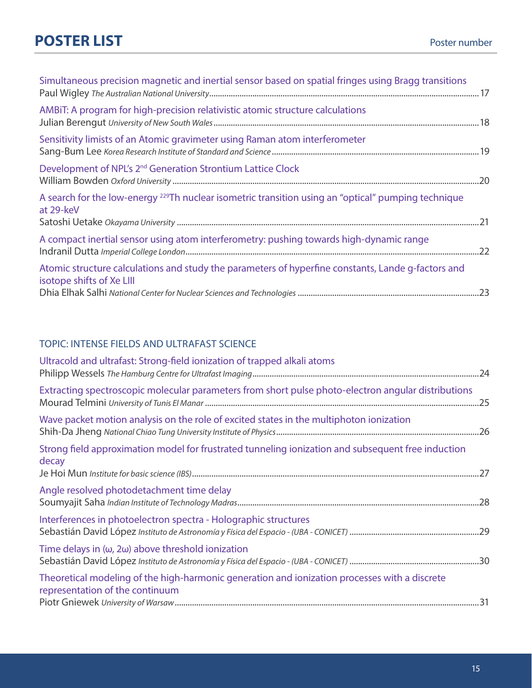| Simultaneous precision magnetic and inertial sensor based on spatial fringes using Bragg transitions                            |
|---------------------------------------------------------------------------------------------------------------------------------|
| AMBIT: A program for high-precision relativistic atomic structure calculations                                                  |
| Sensitivity limists of an Atomic gravimeter using Raman atom interferometer                                                     |
| Development of NPL's 2 <sup>nd</sup> Generation Strontium Lattice Clock                                                         |
| A search for the low-energy <sup>229</sup> Th nuclear isometric transition using an "optical" pumping technique<br>at 29-keV    |
| A compact inertial sensor using atom interferometry: pushing towards high-dynamic range                                         |
| Atomic structure calculations and study the parameters of hyperfine constants, Lande q-factors and<br>isotope shifts of Xe LIII |

#### TOPIC: INTENSE FIELDS AND ULTRAFAST SCIENCE

| Ultracold and ultrafast: Strong-field ionization of trapped alkali atoms                                                         |  |
|----------------------------------------------------------------------------------------------------------------------------------|--|
| Extracting spectroscopic molecular parameters from short pulse photo-electron angular distributions                              |  |
| Wave packet motion analysis on the role of excited states in the multiphoton ionization                                          |  |
| Strong field approximation model for frustrated tunneling ionization and subsequent free induction<br>decay                      |  |
| Angle resolved photodetachment time delay                                                                                        |  |
| Interferences in photoelectron spectra - Holographic structures                                                                  |  |
| Time delays in $(\omega, 2\omega)$ above threshold ionization                                                                    |  |
| Theoretical modeling of the high-harmonic generation and ionization processes with a discrete<br>representation of the continuum |  |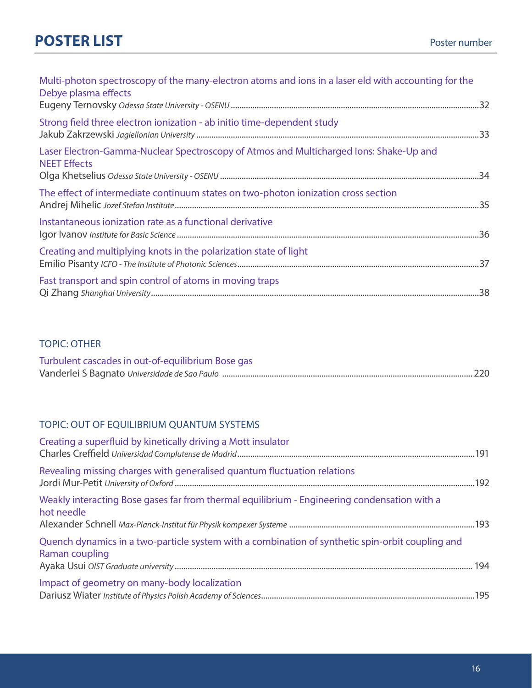| Multi-photon spectroscopy of the many-electron atoms and ions in a laser eld with accounting for the<br>Debye plasma effects |  |
|------------------------------------------------------------------------------------------------------------------------------|--|
| Strong field three electron ionization - ab initio time-dependent study                                                      |  |
| Laser Electron-Gamma-Nuclear Spectroscopy of Atmos and Multicharged Ions: Shake-Up and<br><b>NEET Effects</b>                |  |
| The effect of intermediate continuum states on two-photon ionization cross section                                           |  |
| Instantaneous ionization rate as a functional derivative                                                                     |  |
| Creating and multiplying knots in the polarization state of light                                                            |  |
| Fast transport and spin control of atoms in moving traps                                                                     |  |

#### TOPIC: OTHER

| Turbulent cascades in out-of-equilibrium Bose gas |  |
|---------------------------------------------------|--|
|                                                   |  |

#### TOPIC: OUT OF EQUILIBRIUM QUANTUM SYSTEMS

| Creating a superfluid by kinetically driving a Mott insulator                                                      |  |
|--------------------------------------------------------------------------------------------------------------------|--|
| Revealing missing charges with generalised quantum fluctuation relations                                           |  |
| Weakly interacting Bose gases far from thermal equilibrium - Engineering condensation with a<br>hot needle         |  |
| Quench dynamics in a two-particle system with a combination of synthetic spin-orbit coupling and<br>Raman coupling |  |
| Impact of geometry on many-body localization                                                                       |  |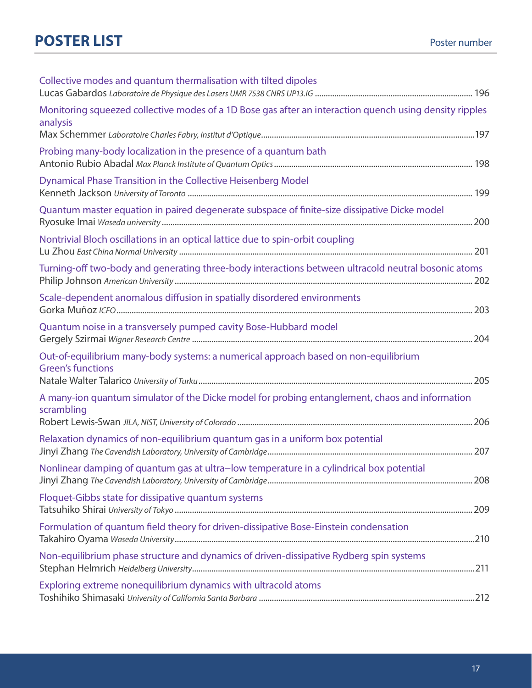| Collective modes and quantum thermalisation with tilted dipoles                                                     |  |
|---------------------------------------------------------------------------------------------------------------------|--|
| Monitoring squeezed collective modes of a 1D Bose gas after an interaction quench using density ripples<br>analysis |  |
|                                                                                                                     |  |
| Probing many-body localization in the presence of a quantum bath                                                    |  |
| Dynamical Phase Transition in the Collective Heisenberg Model                                                       |  |
| Quantum master equation in paired degenerate subspace of finite-size dissipative Dicke model                        |  |
| Nontrivial Bloch oscillations in an optical lattice due to spin-orbit coupling                                      |  |
| Turning-off two-body and generating three-body interactions between ultracold neutral bosonic atoms                 |  |
| Scale-dependent anomalous diffusion in spatially disordered environments                                            |  |
| Quantum noise in a transversely pumped cavity Bose-Hubbard model                                                    |  |
| Out-of-equilibrium many-body systems: a numerical approach based on non-equilibrium<br><b>Green's functions</b>     |  |
| A many-ion quantum simulator of the Dicke model for probing entanglement, chaos and information<br>scrambling       |  |
|                                                                                                                     |  |
| Relaxation dynamics of non-equilibrium quantum gas in a uniform box potential                                       |  |
| Nonlinear damping of quantum gas at ultra-low temperature in a cylindrical box potential                            |  |
| Floquet-Gibbs state for dissipative quantum systems                                                                 |  |
| Formulation of quantum field theory for driven-dissipative Bose-Einstein condensation                               |  |
| Non-equilibrium phase structure and dynamics of driven-dissipative Rydberg spin systems                             |  |
| Exploring extreme nonequilibrium dynamics with ultracold atoms                                                      |  |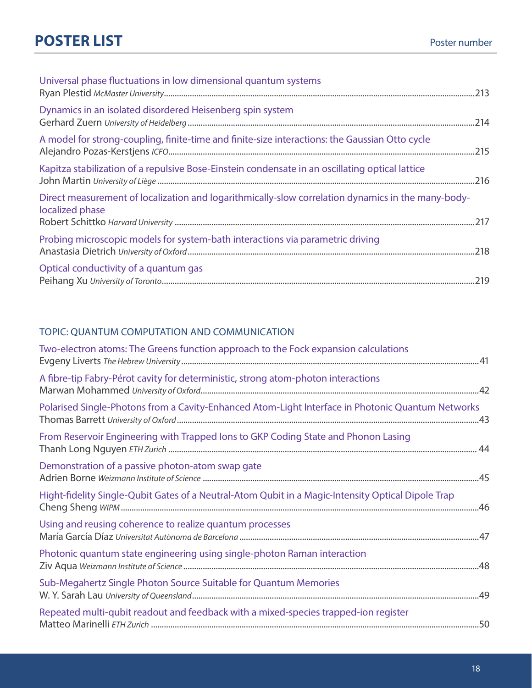| Universal phase fluctuations in low dimensional quantum systems                                                       |  |
|-----------------------------------------------------------------------------------------------------------------------|--|
| Dynamics in an isolated disordered Heisenberg spin system                                                             |  |
| A model for strong-coupling, finite-time and finite-size interactions: the Gaussian Otto cycle                        |  |
| Kapitza stabilization of a repulsive Bose-Einstein condensate in an oscillating optical lattice                       |  |
| Direct measurement of localization and logarithmically-slow correlation dynamics in the many-body-<br>localized phase |  |
| Probing microscopic models for system-bath interactions via parametric driving                                        |  |
| Optical conductivity of a quantum gas                                                                                 |  |

#### TOPIC: QUANTUM COMPUTATION AND COMMUNICATION

| Two-electron atoms: The Greens function approach to the Fock expansion calculations                |  |
|----------------------------------------------------------------------------------------------------|--|
| A fibre-tip Fabry-Pérot cavity for deterministic, strong atom-photon interactions                  |  |
| Polarised Single-Photons from a Cavity-Enhanced Atom-Light Interface in Photonic Quantum Networks  |  |
| From Reservoir Engineering with Trapped lons to GKP Coding State and Phonon Lasing                 |  |
| Demonstration of a passive photon-atom swap gate                                                   |  |
| Hight-fidelity Single-Qubit Gates of a Neutral-Atom Qubit in a Magic-Intensity Optical Dipole Trap |  |
| Using and reusing coherence to realize quantum processes                                           |  |
| Photonic quantum state engineering using single-photon Raman interaction                           |  |
| Sub-Megahertz Single Photon Source Suitable for Quantum Memories                                   |  |
| Repeated multi-qubit readout and feedback with a mixed-species trapped-ion register                |  |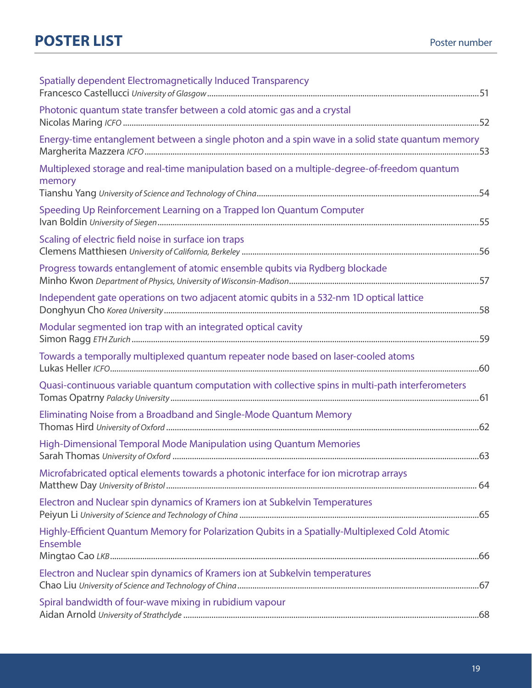| Spatially dependent Electromagnetically Induced Transparency                                               |  |
|------------------------------------------------------------------------------------------------------------|--|
| Photonic quantum state transfer between a cold atomic gas and a crystal                                    |  |
| Energy-time entanglement between a single photon and a spin wave in a solid state quantum memory           |  |
| Multiplexed storage and real-time manipulation based on a multiple-degree-of-freedom quantum<br>memory     |  |
| Speeding Up Reinforcement Learning on a Trapped Ion Quantum Computer                                       |  |
| Scaling of electric field noise in surface ion traps                                                       |  |
| Progress towards entanglement of atomic ensemble qubits via Rydberg blockade                               |  |
| Independent gate operations on two adjacent atomic qubits in a 532-nm 1D optical lattice                   |  |
| Modular segmented ion trap with an integrated optical cavity                                               |  |
| Towards a temporally multiplexed quantum repeater node based on laser-cooled atoms                         |  |
| Quasi-continuous variable quantum computation with collective spins in multi-path interferometers          |  |
| Eliminating Noise from a Broadband and Single-Mode Quantum Memory                                          |  |
| High-Dimensional Temporal Mode Manipulation using Quantum Memories                                         |  |
| Microfabricated optical elements towards a photonic interface for ion microtrap arrays                     |  |
| Electron and Nuclear spin dynamics of Kramers ion at Subkelvin Temperatures                                |  |
| Highly-Efficient Quantum Memory for Polarization Qubits in a Spatially-Multiplexed Cold Atomic<br>Ensemble |  |
| Electron and Nuclear spin dynamics of Kramers ion at Subkelvin temperatures                                |  |
| Spiral bandwidth of four-wave mixing in rubidium vapour                                                    |  |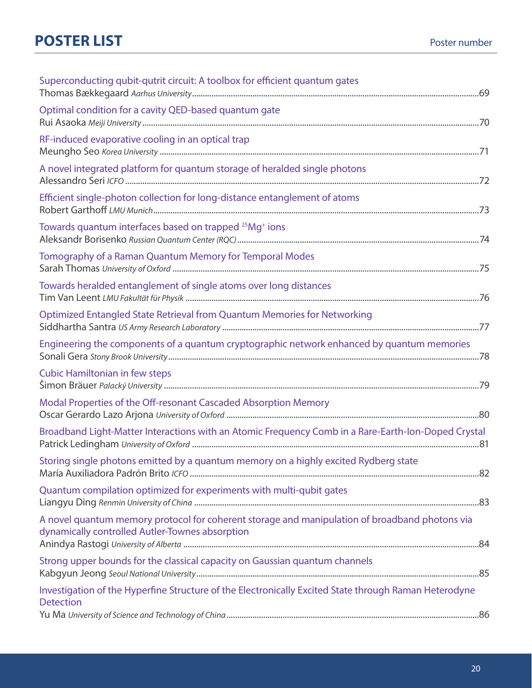| Superconducting qubit-qutrit circuit: A toolbox for efficient quantum gates                                                                       |
|---------------------------------------------------------------------------------------------------------------------------------------------------|
| Optimal condition for a cavity QED-based quantum gate                                                                                             |
| RF-induced evaporative cooling in an optical trap                                                                                                 |
| A novel integrated platform for quantum storage of heralded single photons                                                                        |
| Efficient single-photon collection for long-distance entanglement of atoms                                                                        |
| Towards quantum interfaces based on trapped <sup>25</sup> Mg <sup>+</sup> ions                                                                    |
| Tomography of a Raman Quantum Memory for Temporal Modes                                                                                           |
| Towards heralded entanglement of single atoms over long distances                                                                                 |
| Optimized Entangled State Retrieval from Quantum Memories for Networking                                                                          |
| Engineering the components of a quantum cryptographic network enhanced by quantum memories                                                        |
| <b>Cubic Hamiltonian in few steps</b>                                                                                                             |
| Modal Properties of the Off-resonant Cascaded Absorption Memory                                                                                   |
| Broadband Light-Matter Interactions with an Atomic Frequency Comb in a Rare-Earth-Ion-Doped Crystal                                               |
| Storing single photons emitted by a quantum memory on a highly excited Rydberg state                                                              |
| Quantum compilation optimized for experiments with multi-qubit gates                                                                              |
| A novel quantum memory protocol for coherent storage and manipulation of broadband photons via<br>dynamically controlled Autler-Townes absorption |
| Strong upper bounds for the classical capacity on Gaussian quantum channels                                                                       |
| Investigation of the Hyperfine Structure of the Electronically Excited State through Raman Heterodyne<br><b>Detection</b>                         |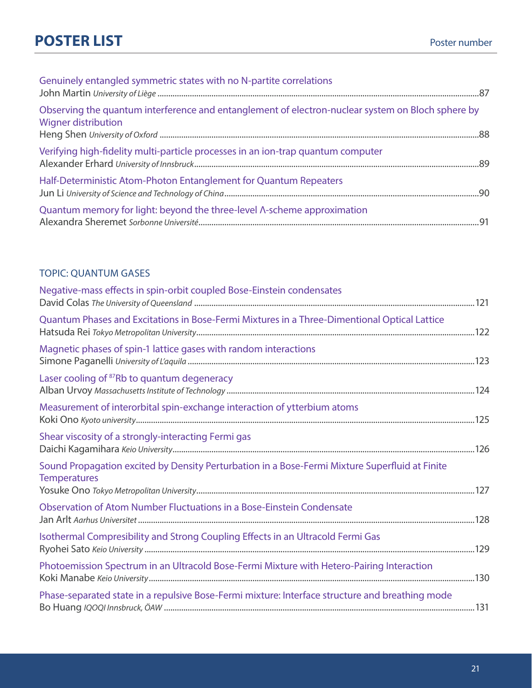| Genuinely entangled symmetric states with no N-partite correlations                                                      |  |
|--------------------------------------------------------------------------------------------------------------------------|--|
| Observing the quantum interference and entanglement of electron-nuclear system on Bloch sphere by<br>Wigner distribution |  |
| Verifying high-fidelity multi-particle processes in an ion-trap quantum computer                                         |  |
| Half-Deterministic Atom-Photon Entanglement for Quantum Repeaters                                                        |  |
| Quantum memory for light: beyond the three-level Λ-scheme approximation                                                  |  |

#### TOPIC: QUANTUM GASES

| Negative-mass effects in spin-orbit coupled Bose-Einstein condensates                                                 |  |
|-----------------------------------------------------------------------------------------------------------------------|--|
| Quantum Phases and Excitations in Bose-Fermi Mixtures in a Three-Dimentional Optical Lattice                          |  |
| Magnetic phases of spin-1 lattice gases with random interactions                                                      |  |
| Laser cooling of <sup>87</sup> Rb to quantum degeneracy                                                               |  |
| Measurement of interorbital spin-exchange interaction of ytterbium atoms                                              |  |
| Shear viscosity of a strongly-interacting Fermi gas                                                                   |  |
| Sound Propagation excited by Density Perturbation in a Bose-Fermi Mixture Superfluid at Finite<br><b>Temperatures</b> |  |
| Observation of Atom Number Fluctuations in a Bose-Einstein Condensate                                                 |  |
| Isothermal Compresibility and Strong Coupling Effects in an Ultracold Fermi Gas                                       |  |
| Photoemission Spectrum in an Ultracold Bose-Fermi Mixture with Hetero-Pairing Interaction                             |  |
| Phase-separated state in a repulsive Bose-Fermi mixture: Interface structure and breathing mode                       |  |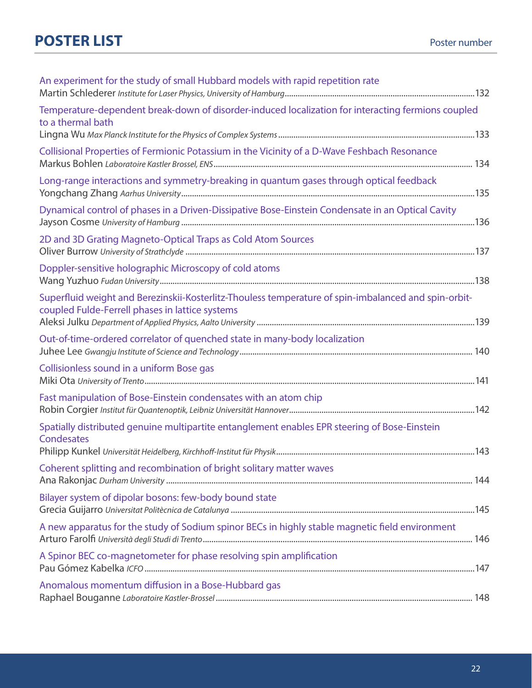| An experiment for the study of small Hubbard models with rapid repetition rate                                                                          |  |
|---------------------------------------------------------------------------------------------------------------------------------------------------------|--|
| Temperature-dependent break-down of disorder-induced localization for interacting fermions coupled<br>to a thermal bath                                 |  |
| Collisional Properties of Fermionic Potassium in the Vicinity of a D-Wave Feshbach Resonance                                                            |  |
| Long-range interactions and symmetry-breaking in quantum gases through optical feedback                                                                 |  |
| Dynamical control of phases in a Driven-Dissipative Bose-Einstein Condensate in an Optical Cavity                                                       |  |
| 2D and 3D Grating Magneto-Optical Traps as Cold Atom Sources                                                                                            |  |
| Doppler-sensitive holographic Microscopy of cold atoms                                                                                                  |  |
| Superfluid weight and Berezinskii-Kosterlitz-Thouless temperature of spin-imbalanced and spin-orbit-<br>coupled Fulde-Ferrell phases in lattice systems |  |
| Out-of-time-ordered correlator of quenched state in many-body localization                                                                              |  |
| Collisionless sound in a uniform Bose gas                                                                                                               |  |
| Fast manipulation of Bose-Einstein condensates with an atom chip                                                                                        |  |
| Spatially distributed genuine multipartite entanglement enables EPR steering of Bose-Einstein<br>Condesates                                             |  |
| Coherent splitting and recombination of bright solitary matter waves                                                                                    |  |
| Bilayer system of dipolar bosons: few-body bound state                                                                                                  |  |
| A new apparatus for the study of Sodium spinor BECs in highly stable magnetic field environment                                                         |  |
| A Spinor BEC co-magnetometer for phase resolving spin amplification                                                                                     |  |
| Anomalous momentum diffusion in a Bose-Hubbard gas                                                                                                      |  |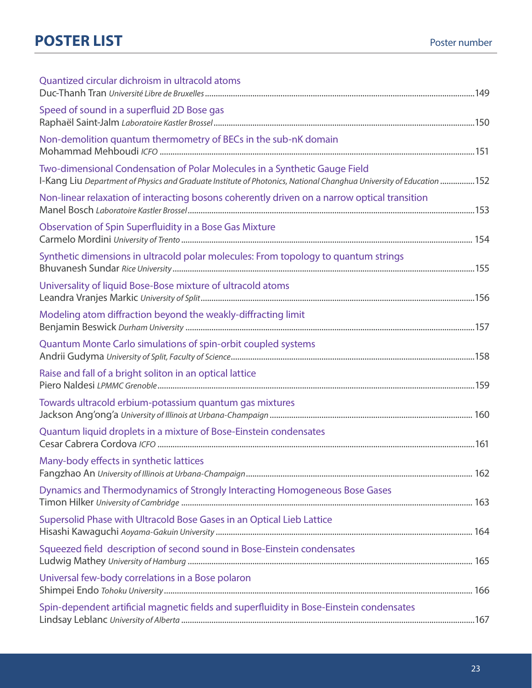| Quantized circular dichroism in ultracold atoms                                              |  |
|----------------------------------------------------------------------------------------------|--|
| Speed of sound in a superfluid 2D Bose gas                                                   |  |
| Non-demolition quantum thermometry of BECs in the sub-nK domain                              |  |
| Two-dimensional Condensation of Polar Molecules in a Synthetic Gauge Field                   |  |
| Non-linear relaxation of interacting bosons coherently driven on a narrow optical transition |  |
| Observation of Spin Superfluidity in a Bose Gas Mixture                                      |  |
| Synthetic dimensions in ultracold polar molecules: From topology to quantum strings          |  |
| Universality of liquid Bose-Bose mixture of ultracold atoms                                  |  |
| Modeling atom diffraction beyond the weakly-diffracting limit                                |  |
| Quantum Monte Carlo simulations of spin-orbit coupled systems                                |  |
| Raise and fall of a bright soliton in an optical lattice                                     |  |
| Towards ultracold erbium-potassium quantum gas mixtures                                      |  |
| Quantum liquid droplets in a mixture of Bose-Einstein condensates                            |  |
| Many-body effects in synthetic lattices                                                      |  |
| Dynamics and Thermodynamics of Strongly Interacting Homogeneous Bose Gases                   |  |
| Supersolid Phase with Ultracold Bose Gases in an Optical Lieb Lattice                        |  |
| Squeezed field description of second sound in Bose-Einstein condensates                      |  |
| Universal few-body correlations in a Bose polaron                                            |  |
| Spin-dependent artificial magnetic fields and superfluidity in Bose-Einstein condensates     |  |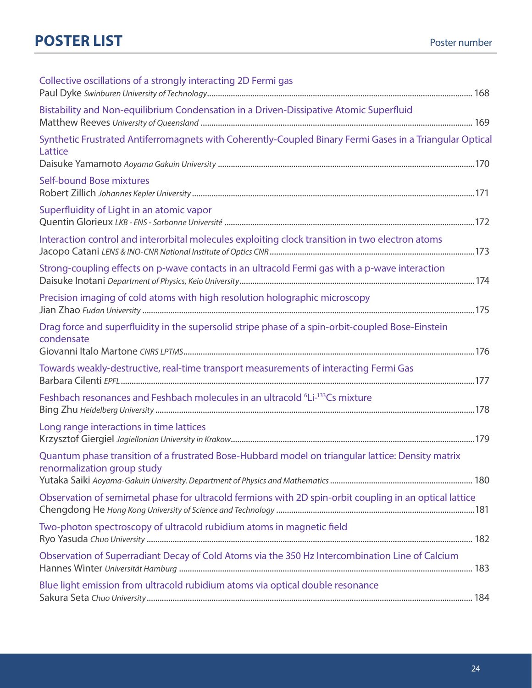| Collective oscillations of a strongly interacting 2D Fermi gas                                                                   |  |
|----------------------------------------------------------------------------------------------------------------------------------|--|
| Bistability and Non-equilibrium Condensation in a Driven-Dissipative Atomic Superfluid                                           |  |
| Synthetic Frustrated Antiferromagnets with Coherently-Coupled Binary Fermi Gases in a Triangular Optical<br>Lattice              |  |
| Self-bound Bose mixtures                                                                                                         |  |
| Superfluidity of Light in an atomic vapor                                                                                        |  |
| Interaction control and interorbital molecules exploiting clock transition in two electron atoms                                 |  |
| Strong-coupling effects on p-wave contacts in an ultracold Fermi gas with a p-wave interaction                                   |  |
| Precision imaging of cold atoms with high resolution holographic microscopy                                                      |  |
| Drag force and superfluidity in the supersolid stripe phase of a spin-orbit-coupled Bose-Einstein<br>condensate                  |  |
| Towards weakly-destructive, real-time transport measurements of interacting Fermi Gas                                            |  |
| Feshbach resonances and Feshbach molecules in an ultracold <sup>6</sup> Li- <sup>133</sup> Cs mixture                            |  |
| Long range interactions in time lattices                                                                                         |  |
| Quantum phase transition of a frustrated Bose-Hubbard model on triangular lattice: Density matrix<br>renormalization group study |  |
| Observation of semimetal phase for ultracold fermions with 2D spin-orbit coupling in an optical lattice                          |  |
| Two-photon spectroscopy of ultracold rubidium atoms in magnetic field                                                            |  |
| Observation of Superradiant Decay of Cold Atoms via the 350 Hz Intercombination Line of Calcium                                  |  |
| Blue light emission from ultracold rubidium atoms via optical double resonance                                                   |  |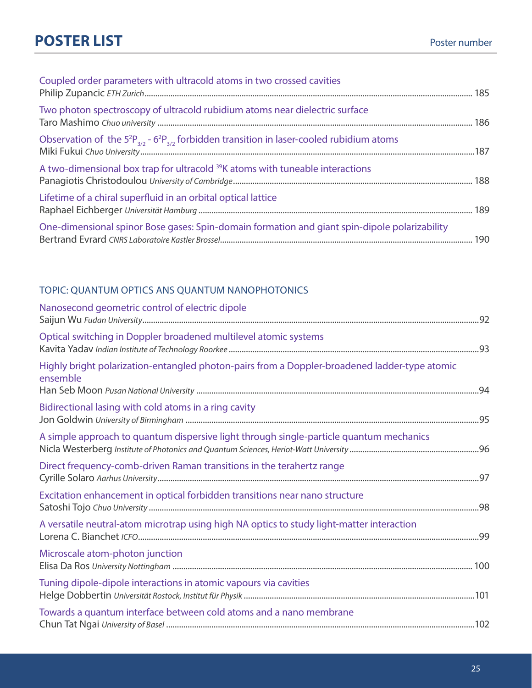## **POSTER LIST** POSTER POSTER **POSTER POSTER**

| Coupled order parameters with ultracold atoms in two crossed cavities                                  |  |
|--------------------------------------------------------------------------------------------------------|--|
| Two photon spectroscopy of ultracold rubidium atoms near dielectric surface                            |  |
| Observation of the $5^{2}P_{3/2}$ - $6^{2}P_{3/2}$ forbidden transition in laser-cooled rubidium atoms |  |
| A two-dimensional box trap for ultracold <sup>39</sup> K atoms with tuneable interactions              |  |
| Lifetime of a chiral superfluid in an orbital optical lattice                                          |  |
| One-dimensional spinor Bose gases: Spin-domain formation and giant spin-dipole polarizability          |  |

#### TOPIC: QUANTUM OPTICS ANS QUANTUM NANOPHOTONICS

| Nanosecond geometric control of electric dipole                                                           |  |
|-----------------------------------------------------------------------------------------------------------|--|
| Optical switching in Doppler broadened multilevel atomic systems                                          |  |
| Highly bright polarization-entangled photon-pairs from a Doppler-broadened ladder-type atomic<br>ensemble |  |
| Bidirectional lasing with cold atoms in a ring cavity                                                     |  |
| A simple approach to quantum dispersive light through single-particle quantum mechanics                   |  |
| Direct frequency-comb-driven Raman transitions in the terahertz range                                     |  |
| Excitation enhancement in optical forbidden transitions near nano structure                               |  |
| A versatile neutral-atom microtrap using high NA optics to study light-matter interaction                 |  |
| Microscale atom-photon junction                                                                           |  |
| Tuning dipole-dipole interactions in atomic vapours via cavities                                          |  |
| Towards a quantum interface between cold atoms and a nano membrane                                        |  |